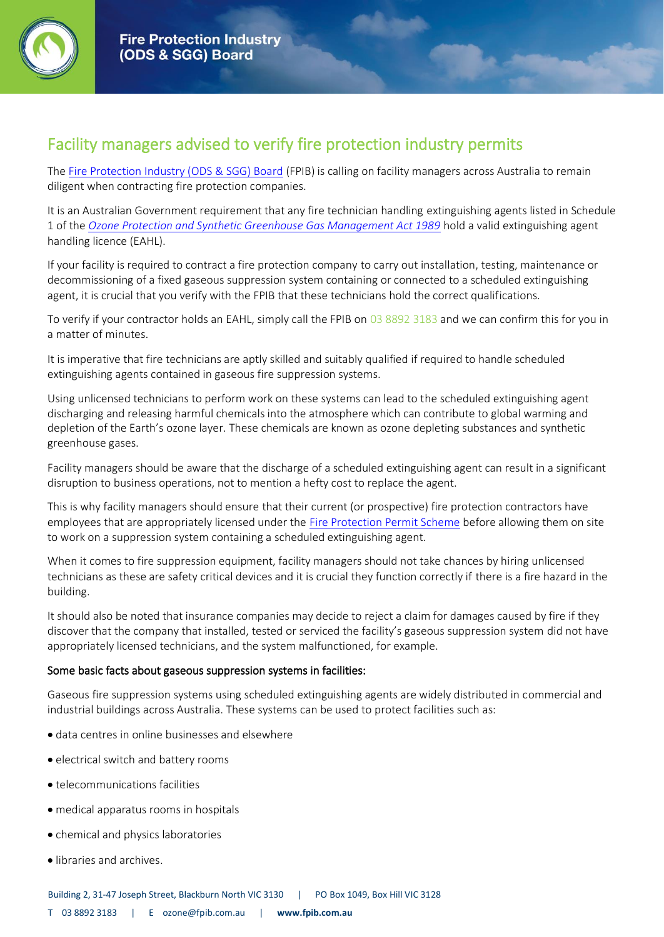

## Facility managers advised to verify fire protection industry permits

The [Fire Protection Industry \(ODS & SGG\) Board](https://www.fpib.com.au/about-us/) (FPIB) is calling on facility managers across Australia to remain diligent when contracting fire protection companies.

It is an Australian Government requirement that any fire technician handling extinguishing agents listed in Schedule 1 of the *[Ozone Protection and Synthetic Greenhouse Gas Management Act 1989](https://www.environment.gov.au/protection/ozone/legislation)* hold a valid extinguishing agent handling licence (EAHL).

If your facility is required to contract a fire protection company to carry out installation, testing, maintenance or decommissioning of a fixed gaseous suppression system containing or connected to a scheduled extinguishing agent, it is crucial that you verify with the FPIB that these technicians hold the correct qualifications.

To verify if your contractor holds an EAHL, simply call the FPIB on [03 8892 3183](tel:0388923183) and we can confirm this for you in a matter of minutes.

It is imperative that fire technicians are aptly skilled and suitably qualified if required to handle scheduled extinguishing agents contained in gaseous fire suppression systems.

Using unlicensed technicians to perform work on these systems can lead to the scheduled extinguishing agent discharging and releasing harmful chemicals into the atmosphere which can contribute to global warming and depletion of the Earth's ozone layer. These chemicals are known as ozone depleting substances and synthetic greenhouse gases.

Facility managers should be aware that the discharge of a scheduled extinguishing agent can result in a significant disruption to business operations, not to mention a hefty cost to replace the agent.

This is why facility managers should ensure that their current (or prospective) fire protection contractors have employees that are appropriately licensed under the [Fire Protection Permit Scheme](https://www.fpib.com.au/licence-types/) before allowing them on site to work on a suppression system containing a scheduled extinguishing agent.

When it comes to fire suppression equipment, facility managers should not take chances by hiring unlicensed technicians as these are safety critical devices and it is crucial they function correctly if there is a fire hazard in the building.

It should also be noted that insurance companies may decide to reject a claim for damages caused by fire if they discover that the company that installed, tested or serviced the facility's gaseous suppression system did not have appropriately licensed technicians, and the system malfunctioned, for example.

## Some basic facts about gaseous suppression systems in facilities:

Gaseous fire suppression systems using scheduled extinguishing agents are widely distributed in commercial and industrial buildings across Australia. These systems can be used to protect facilities such as:

- data centres in online businesses and elsewhere
- electrical switch and battery rooms
- telecommunications facilities
- medical apparatus rooms in hospitals
- chemical and physics laboratories
- libraries and archives.